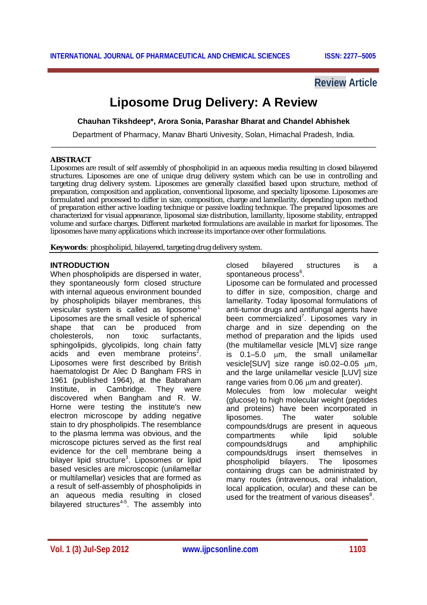# **Review Article**

# **Liposome Drug Delivery: A Review**

**Chauhan Tikshdeep\*, Arora Sonia, Parashar Bharat and Chandel Abhishek**

Department of Pharmacy, Manav Bharti Univesity, Solan, Himachal Pradesh, India. \_\_\_\_\_\_\_\_\_\_\_\_\_\_\_\_\_\_\_\_\_\_\_\_\_\_\_\_\_\_\_\_\_\_\_\_\_\_\_\_\_\_\_\_\_\_\_\_\_\_\_\_\_\_\_\_\_\_\_\_\_\_\_\_\_\_\_\_\_\_\_\_\_\_\_\_

#### **ABSTRACT**

Liposomes are result of self assembly of phospholipid in an aqueous media resulting in closed bilayered structures. Liposomes are one of unique drug delivery system which can be use in controlling and targeting drug delivery system. Liposomes are generally classified based upon structure, method of preparation, composition and application, conventional liposome, and specialty liposome. Liposomes are formulated and processed to differ in size, composition, charge and lamellarity, depending upon method of preparation either active loading technique or passive loading technique. The prepared liposomes are characterized for visual appearance, liposomal size distribution, lamillarity, liposome stability, entrapped volume and surface charges. Different marketed formulations are available in market for liposomes. The liposomes have many applications which increase its importance over other formulations.

**Keywords**: phospholipid, bilayered, targeting drug delivery system.

#### **INTRODUCTION**

When phospholipids are dispersed in water, they spontaneously form closed structure with internal aqueous environment bounded by phospholipids bilayer membranes, this vesicular system is called as liposome<sup>1.</sup> Liposomes are the small vesicle of spherical shape that can be produced from cholesterols, non toxic surfactants, sphingolipids, glycolipids, long chain fatty acids and even membrane proteins<sup>2</sup>. Liposomes were first described by British haematologist Dr Alec D Bangham FRS in 1961 (published 1964), at the Babraham Institute, in Cambridge. They were discovered when Bangham and R. W. Horne were testing the institute's new electron microscope by adding negative stain to dry phospholipids. The resemblance to the plasma lemma was obvious, and the microscope pictures served as the first real evidence for the cell membrane being a bilayer lipid structure<sup>3</sup>. Liposomes or lipid based vesicles are microscopic (unilamellar or multilamellar) vesicles that are formed as a result of self-assembly of phospholipids in an aqueous media resulting in closed bilayered structures<sup>45</sup>. The assembly into closed bilayered structures is a spontaneous process<sup>6</sup>.

Liposome can be formulated and processed to differ in size, composition, charge and lamellarity. Today liposomal formulations of anti-tumor drugs and antifungal agents have been commercialized<sup>7</sup>. Liposomes vary in charge and in size depending on the method of preparation and the lipids used (the multilamellar vesicle [MLV] size range is  $0.1-5.0$   $\mu$ m, the small unilamellar vesicle $[SUV]$  size range is $0.02-0.05$   $\mu$ m, and the large unilamellar vesicle [LUV] size range varies from  $0.06 \mu m$  and greater). Molecules from low molecular weight (glucose) to high molecular weight (peptides and proteins) have been incorporated in liposomes. The water soluble compounds/drugs are present in aqueous compartments while lipid soluble<br>compounds/drugs and amphiphilic compounds/drugs and amphiphilic compounds/drugs insert themselves in phospholipid bilayers. The liposomes containing drugs can be administrated by many routes (intravenous, oral inhalation, local application, ocular) and these can be used for the treatment of various diseases<sup>8</sup>.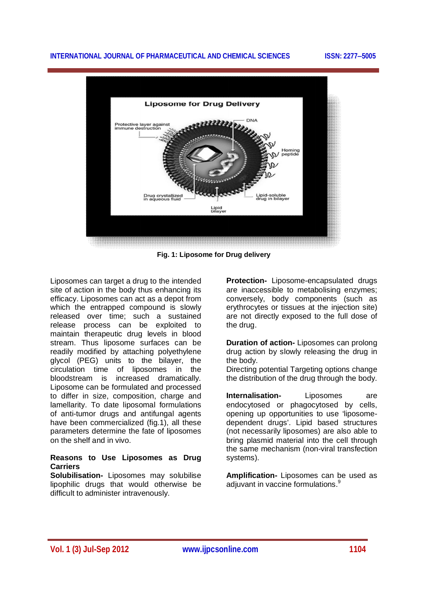

**Fig. 1: Liposome for Drug delivery**

Liposomes can target a drug to the intended site of action in the body thus enhancing its efficacy. Liposomes can act as a depot from which the entrapped compound is slowly released over time; such a sustained release process can be exploited to maintain therapeutic drug levels in blood stream. Thus liposome surfaces can be readily modified by attaching polyethylene glycol (PEG) units to the bilayer, the circulation time of liposomes in the bloodstream is increased dramatically. Liposome can be formulated and processed to differ in size, composition, charge and lamellarity. To date liposomal formulations of anti-tumor drugs and antifungal agents have been commercialized (fig.1), all these parameters determine the fate of liposomes on the shelf and in vivo.

#### **Reasons to Use Liposomes as Drug Carriers**

**Solubilisation-** Liposomes may solubilise lipophilic drugs that would otherwise be difficult to administer intravenously.

**Protection-** Liposome-encapsulated drugs are inaccessible to metabolising enzymes; conversely, body components (such as erythrocytes or tissues at the injection site) are not directly exposed to the full dose of the drug.

**Duration of action-** Liposomes can prolong drug action by slowly releasing the drug in the body.

Directing potential Targeting options change the distribution of the drug through the body.

**Internalisation-** Liposomes are endocytosed or phagocytosed by cells, opening up opportunities to use 'liposomedependent drugs'. Lipid based structures (not necessarily liposomes) are also able to bring plasmid material into the cell through the same mechanism (non-viral transfection systems).

**Amplification-** Liposomes can be used as adjuvant in vaccine formulations.<sup>9</sup>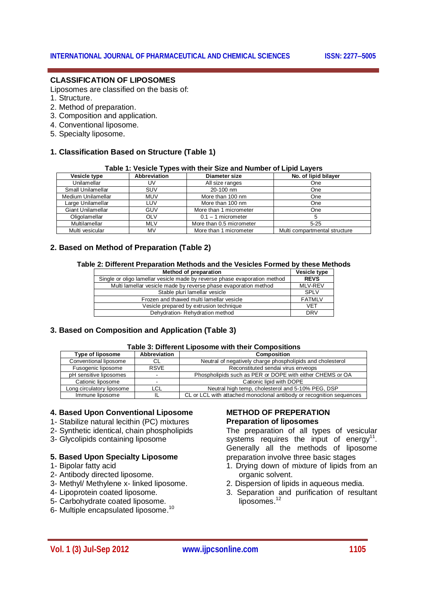#### **CLASSIFICATION OF LIPOSOMES**

Liposomes are classified on the basis of:

- 1. Structure.
- 2. Method of preparation.
- 3. Composition and application.
- 4. Conventional liposome.
- 5. Specialty liposome.

#### **1. Classification Based on Structure (Table 1)**

#### **Table 1: Vesicle Types with their Size and Number of Lipid Layers**

| Vesicle type       | <b>Abbreviation</b> | <b>Diameter size</b>     | No. of lipid bilayer          |
|--------------------|---------------------|--------------------------|-------------------------------|
| Unilamellar        | UV                  | All size ranges          | One                           |
| Small Unilamellar  | <b>SUV</b>          | 20-100 nm                | One                           |
| Medium Unilamellar | <b>MUV</b>          | More than 100 nm         | One                           |
| Large Unilamellar  | LUV                 | More than 100 nm         | One                           |
| Giant Unilamellar  | GUV                 | More than 1 micrometer   | One                           |
| Oligolamellar      | OLV                 | $0.1 - 1$ micrometer     |                               |
| Multilamellar      | <b>MLV</b>          | More than 0.5 micrometer | $5 - 25$                      |
| Multi vesicular    | MV                  | More than 1 micrometer   | Multi compartmental structure |

#### **2. Based on Method of Preparation (Table 2)**

#### **Table 2: Different Preparation Methods and the Vesicles Formed by these Methods**

| <b>Method of preparation</b>                                              | Vesicle type   |
|---------------------------------------------------------------------------|----------------|
| Single or oligo lamellar vesicle made by reverse phase evaporation method | <b>REVS</b>    |
| Multi lamellar vesicle made by reverse phase evaporation method           | <b>MLV-REV</b> |
| Stable pluri lamellar vesicle                                             | <b>SPLV</b>    |
| Frozen and thawed multi lamellar vesicle                                  | <b>FATMLV</b>  |
| Vesicle prepared by extrusion technique                                   | <b>VFT</b>     |
| Dehydration-Rehydration method                                            | <b>DRV</b>     |

#### **3. Based on Composition and Application (Table 3)**

#### **Table 3: Different Liposome with their Compositions**

| <b>Type of liposome</b>   | <b>Abbreviation</b> | <b>Composition</b>                                                   |
|---------------------------|---------------------|----------------------------------------------------------------------|
| Conventional liposome     |                     | Neutral of negatively charge phospholipids and cholesterol           |
| Fusogenic liposome        | <b>RSVE</b>         | Reconstituted sendai virus enveops                                   |
| pH sensitive liposomes    |                     | Phospholipids such as PER or DOPE with either CHEMS or OA            |
| Cationic liposome         |                     | Cationic lipid with DOPE                                             |
| Long circulatory liposome | LCL                 | Neutral high temp, cholesterol and 5-10% PEG, DSP                    |
| Immune liposome           |                     | CL or LCL with attached monoclonal antibody or recognition sequences |

#### **4. Based Upon Conventional Liposome**

- 1- Stabilize natural lecithin (PC) mixtures
- 2- Synthetic identical, chain phospholipids
- 3- Glycolipids containing liposome

#### **5. Based Upon Specialty Liposome**

- 1- Bipolar fatty acid
- 2- Antibody directed liposome.
- 3- Methyl/ Methylene x- linked liposome.
- 4- Lipoprotein coated liposome.
- 5- Carbohydrate coated liposome.
- 6- Multiple encapsulated liposome.<sup>10</sup>

### **METHOD OF PREPERATION Preparation of liposomes**

The preparation of all types of vesicular systems requires the input of energy<sup>11</sup>. Generally all the methods of liposome preparation involve three basic stages

- 1. Drying down of mixture of lipids from an organic solvent.
- 2. Dispersion of lipids in aqueous media.
- 3. Separation and purification of resultant liposomes.<sup>12</sup>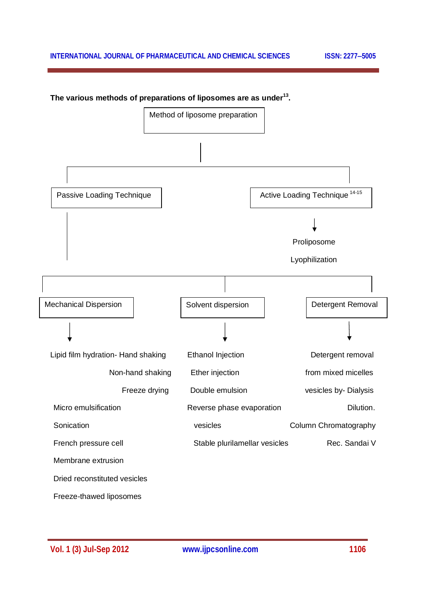

#### **The various methods of preparations of liposomes are as under<sup>13</sup> .**

**Vol. 1 (3) Jul-Sep 2012 www.ijpcsonline.com 1106**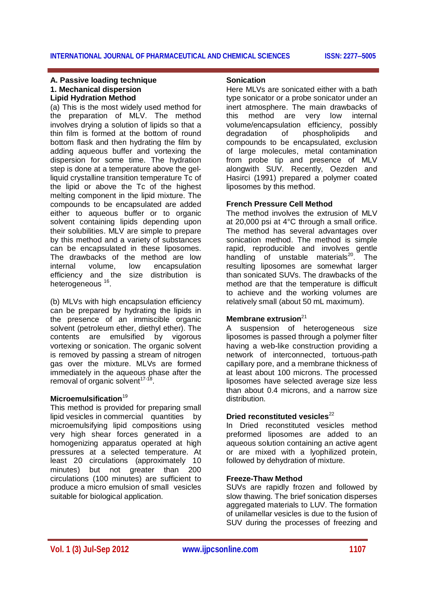#### **A. Passive loading technique 1. Mechanical dispersion Lipid Hydration Method**

(a) This is the most widely used method for the preparation of MLV. The method involves drying a solution of lipids so that a thin film is formed at the bottom of round bottom flask and then hydrating the film by adding aqueous buffer and vortexing the dispersion for some time. The hydration step is done at a temperature above the gelliquid crystalline transition temperature Tc of the lipid or above the Tc of the highest melting component in the lipid mixture. The compounds to be encapsulated are added either to aqueous buffer or to organic solvent containing lipids depending upon their solubilities. MLV are simple to prepare by this method and a variety of substances can be encapsulated in these liposomes. The drawbacks of the method are low internal volume, low encapsulation efficiency and the size distribution is heterogeneous<sup>16</sup>.

(b) MLVs with high encapsulation efficiency can be prepared by hydrating the lipids in the presence of an immiscible organic solvent (petroleum ether, diethyl ether). The contents are emulsified by vigorous vortexing or sonication. The organic solvent is removed by passing a stream of nitrogen gas over the mixture. MLVs are formed immediately in the aqueous phase after the removal of organic solvent<sup>17-18</sup>.

#### **Microemulsification**<sup>19</sup>

This method is provided for preparing small lipid vesicles in commercial quantities by microemulsifying lipid compositions using very high shear forces generated in a homogenizing apparatus operated at high pressures at a selected temperature. At least 20 circulations (approximately 10 minutes) but not greater than 200 circulations (100 minutes) are sufficient to produce a micro emulsion of small vesicles suitable for biological application.

#### **Sonication**

Here MLVs are sonicated either with a bath type sonicator or a probe sonicator under an inert atmosphere. The main drawbacks of this method are very low internal volume/encapsulation efficiency, possibly degradation of phospholipids and compounds to be encapsulated, exclusion of large molecules, metal contamination from probe tip and presence of MLV alongwith SUV. Recently, Oezden and Hasirci (1991) prepared a polymer coated liposomes by this method.

### **French Pressure Cell Method**

The method involves the extrusion of MLV at 20,000 psi at 4°C through a small orifice. The method has several advantages over sonication method. The method is simple rapid, reproducible and involves gentle handling of unstable materials<sup>20</sup>. The resulting liposomes are somewhat larger than sonicated SUVs. The drawbacks of the method are that the temperature is difficult to achieve and the working volumes are relatively small (about 50 mL maximum).

#### **Membrane extrusion**<sup>21</sup>

A suspension of heterogeneous size liposomes is passed through a polymer filter having a web-like construction providing a network of interconnected, tortuous-path capillary pore, and a membrane thickness of at least about 100 microns. The processed liposomes have selected average size less than about 0.4 microns, and a narrow size distribution.

#### **Dried reconstituted vesicles**<sup>22</sup>

In Dried reconstituted vesicles method preformed liposomes are added to an aqueous solution containing an active agent or are mixed with a lyophilized protein, followed by dehydration of mixture.

#### **Freeze-Thaw Method**

SUVs are rapidly frozen and followed by slow thawing. The brief sonication disperses aggregated materials to LUV. The formation of unilamellar vesicles is due to the fusion of SUV during the processes of freezing and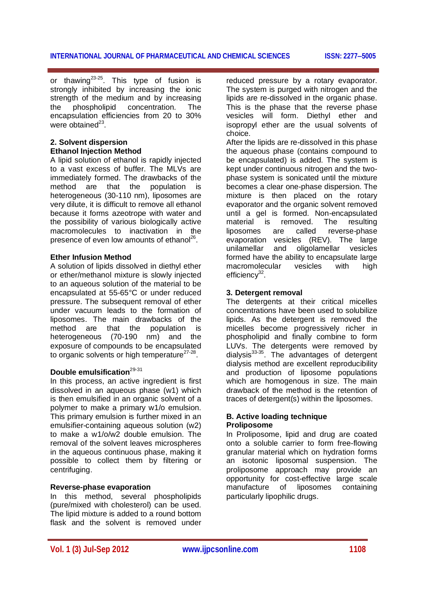or thawing $^{23\text{-}25}$ . This type of fusion is strongly inhibited by increasing the ionic strength of the medium and by increasing the phospholipid concentration. The encapsulation efficiencies from 20 to 30% were obtained $^{23}$ .

#### **2. Solvent dispersion Ethanol Injection Method**

A lipid solution of ethanol is rapidly injected to a vast excess of buffer. The MLVs are immediately formed. The drawbacks of the are that the population is heterogeneous (30-110 nm), liposomes are very dilute, it is difficult to remove all ethanol because it forms azeotrope with water and the possibility of various biologically active macromolecules to inactivation in the presence of even low amounts of ethanol<sup>26</sup>.

#### **Ether Infusion Method**

A solution of lipids dissolved in diethyl ether or ether/methanol mixture is slowly injected to an aqueous solution of the material to be encapsulated at 55-65°C or under reduced pressure. The subsequent removal of ether under vacuum leads to the formation of liposomes. The main drawbacks of the method are that the population is heterogeneous (70-190 nm) and the exposure of compounds to be encapsulated to organic solvents or high temperature<sup>27-28</sup>.

## **Double emulsification**29-31

In this process, an active ingredient is first dissolved in an aqueous phase (w1) which is then emulsified in an organic solvent of a polymer to make a primary w1/o emulsion. This primary emulsion is further mixed in an emulsifier-containing aqueous solution (w2) to make a w1/o/w2 double emulsion. The removal of the solvent leaves microspheres in the aqueous continuous phase, making it possible to collect them by filtering or centrifuging.

#### **Reverse-phase evaporation**

In this method, several phospholipids (pure/mixed with cholesterol) can be used. The lipid mixture is added to a round bottom flask and the solvent is removed under reduced pressure by a rotary evaporator. The system is purged with nitrogen and the lipids are re-dissolved in the organic phase. This is the phase that the reverse phase vesicles will form. Diethyl ether and isopropyl ether are the usual solvents of choice.

After the lipids are re-dissolved in this phase the aqueous phase (contains compound to be encapsulated) is added. The system is kept under continuous nitrogen and the twophase system is sonicated until the mixture becomes a clear one-phase dispersion. The mixture is then placed on the rotary evaporator and the organic solvent removed until a gel is formed. Non-encapsulated material is removed. The resulting liposomes are called reverse-phase evaporation vesicles (REV). The large<br>unilamellar and oligolamellar vesicles oligolamellar vesicles formed have the ability to encapsulate large macromolecular vesicles with high efficiency<sup>32</sup>.

#### **3. Detergent removal**

The detergents at their critical micelles concentrations have been used to solubilize lipids. As the detergent is removed the micelles become progressively richer in phospholipid and finally combine to form LUVs. The detergents were removed by dialysis<sup>33-35</sup>. The advantages of detergent dialysis method are excellent reproducibility and production of liposome populations which are homogenous in size. The main drawback of the method is the retention of traces of detergent(s) within the liposomes.

#### **B. Active loading technique Proliposome**

In Proliposome, lipid and drug are coated onto a soluble carrier to form free-flowing granular material which on hydration forms an isotonic liposomal suspension. The proliposome approach may provide an opportunity for cost-effective large scale manufacture of liposomes containing particularly lipophilic drugs.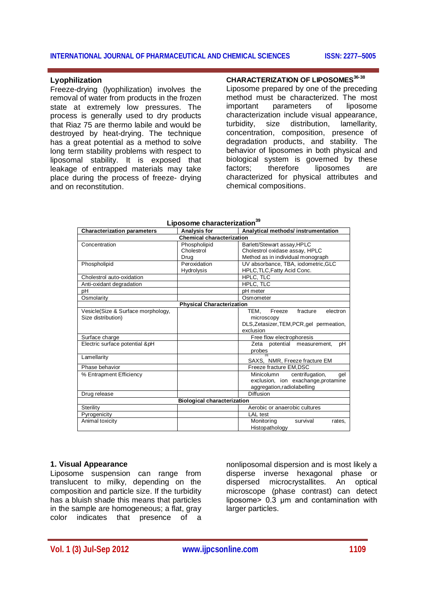#### **Lyophilization**

Freeze-drying (lyophilization) involves the removal of water from products in the frozen state at extremely low pressures. The process is generally used to dry products that Riaz 75 are thermo labile and would be destroyed by heat-drying. The technique has a great potential as a method to solve long term stability problems with respect to liposomal stability. It is exposed that leakage of entrapped materials may take place during the process of freeze- drying and on reconstitution.

#### **CHARACTERIZATION OF LIPOSOMES36-38**

Liposome prepared by one of the preceding method must be characterized. The most important parameters of liposome characterization include visual appearance, turbidity, size distribution, lamellarity, concentration, composition, presence of degradation products, and stability. The behavior of liposomes in both physical and biological system is governed by these factors; therefore liposomes are characterized for physical attributes and chemical compositions.

| <b>Characterization parameters</b> | <b>Analysis for</b>                | Analytical methods/instrumentation        |  |  |
|------------------------------------|------------------------------------|-------------------------------------------|--|--|
| <b>Chemical characterization</b>   |                                    |                                           |  |  |
| Concentration                      | Phospholipid                       | Barlett/Stewart assay, HPLC               |  |  |
|                                    | Cholestrol                         | Cholestrol oxidase assay, HPLC            |  |  |
|                                    | Drug                               | Method as in individual monograph         |  |  |
| Phospholipid                       | Peroxidation                       | UV absorbance, TBA, iodometric, GLC       |  |  |
|                                    | <b>Hydrolysis</b>                  | HPLC, TLC, Fatty Acid Conc.               |  |  |
| Cholestrol auto-oxidation          |                                    | HPLC, TLC                                 |  |  |
| Anti-oxidant degradation           |                                    | HPLC, TLC                                 |  |  |
| рH                                 |                                    | pH meter                                  |  |  |
| Osmolarity                         |                                    | Osmometer                                 |  |  |
| <b>Physical Characterization</b>   |                                    |                                           |  |  |
| Vesicle(Size & Surface morphology, |                                    | Freeze<br>electron<br>TEM.<br>fracture    |  |  |
| Size distribution)                 |                                    | microscopy                                |  |  |
|                                    |                                    | DLS, Zetasizer, TEM, PCR, gel permeation, |  |  |
|                                    |                                    | exclusion                                 |  |  |
| Surface charge                     |                                    | Free flow electrophoresis                 |  |  |
| Electric surface potential &pH     |                                    | Zeta potential measurement,<br>рH         |  |  |
|                                    |                                    | probes                                    |  |  |
| Lamellarity                        |                                    |                                           |  |  |
|                                    |                                    | SAXS, NMR, Freeze fracture EM             |  |  |
| Phase behavior                     |                                    | Freeze fracture EM, DSC                   |  |  |
| % Entrapment Efficiency            |                                    | Minicolumn<br>centrifugation,<br>qel      |  |  |
|                                    |                                    | exclusion, ion exachange, protamine       |  |  |
|                                    |                                    | aggregation, radiolabelling               |  |  |
| Drug release                       |                                    | Diffusion                                 |  |  |
|                                    | <b>Biological characterization</b> |                                           |  |  |
| Sterility                          |                                    | Aerobic or anaerobic cultures             |  |  |
| Pyrogenicity                       |                                    | <b>LAL</b> test                           |  |  |
| Animal toxicity                    |                                    | Monitoring<br>survival<br>rates,          |  |  |
|                                    |                                    | Histopathology                            |  |  |

#### **Liposome characterization<sup>39</sup>**

### **1. Visual Appearance**

Liposome suspension can range from translucent to milky, depending on the composition and particle size. If the turbidity has a bluish shade this means that particles in the sample are homogeneous; a flat, gray color indicates that presence of a

nonliposomal dispersion and is most likely a disperse inverse hexagonal phase or dispersed microcrystallites. An optical microscope (phase contrast) can detect liposome> 0.3 μm and contamination with larger particles.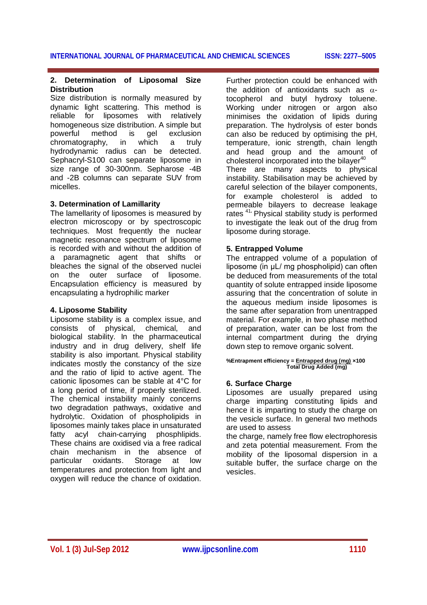#### **2. Determination of Liposomal Size Distribution**

Size distribution is normally measured by dynamic light scattering. This method is reliable for liposomes with relatively homogeneous size distribution. A simple but powerful method is gel exclusion chromatography, in which a truly hydrodynamic radius can be detected. Sephacryl-S100 can separate liposome in size range of 30-300nm. Sepharose -4B and -2B columns can separate SUV from micelles.

#### **3. Determination of Lamillarity**

The lamellarity of liposomes is measured by electron microscopy or by spectroscopic techniques. Most frequently the nuclear magnetic resonance spectrum of liposome is recorded with and without the addition of a paramagnetic agent that shifts or bleaches the signal of the observed nuclei on the outer surface of liposome. Encapsulation efficiency is measured by encapsulating a hydrophilic marker

#### **4. Liposome Stability**

Liposome stability is a complex issue, and consists of physical, chemical, and biological stability. In the pharmaceutical industry and in drug delivery, shelf life stability is also important. Physical stability indicates mostly the constancy of the size and the ratio of lipid to active agent. The cationic liposomes can be stable at 4°C for a long period of time, if properly sterilized. The chemical instability mainly concerns two degradation pathways, oxidative and hydrolytic. Oxidation of phospholipids in liposomes mainly takes place in unsaturated fatty acyl chain-carrying phosphlipids. These chains are oxidised via a free radical chain mechanism in the absence of<br>particular oxidants. Storage at low oxidants. Storage at temperatures and protection from light and oxygen will reduce the chance of oxidation.

Further protection could be enhanced with the addition of antioxidants such as  $\alpha$ tocopherol and butyl hydroxy toluene. Working under nitrogen or argon also minimises the oxidation of lipids during preparation. The hydrolysis of ester bonds can also be reduced by optimising the pH, temperature, ionic strength, chain length and head group and the amount of cholesterol incorporated into the bilayer $40$ There are many aspects to physical instability. Stabilisation may be achieved by careful selection of the bilayer components, for example cholesterol is added to permeable bilayers to decrease leakage rates <sup>41</sup>**.** Physical stability study is performed to investigate the leak out of the drug from liposome during storage.

#### **5. Entrapped Volume**

The entrapped volume of a population of liposome (in μL/ mg phospholipid) can often be deduced from measurements of the total quantity of solute entrapped inside liposome assuring that the concentration of solute in the aqueous medium inside liposomes is the same after separation from unentrapped material. For example, in two phase method of preparation, water can be lost from the internal compartment during the drying down step to remove organic solvent.

#### **%Entrapment efficiency = Entrapped drug (mg) ×100 Total Drug Added (mg)**

#### **6. Surface Charge**

Liposomes are usually prepared using charge imparting constituting lipids and hence it is imparting to study the charge on the vesicle surface. In general two methods are used to assess

the charge, namely free flow electrophoresis and zeta potential measurement. From the mobility of the liposomal dispersion in a suitable buffer, the surface charge on the vesicles.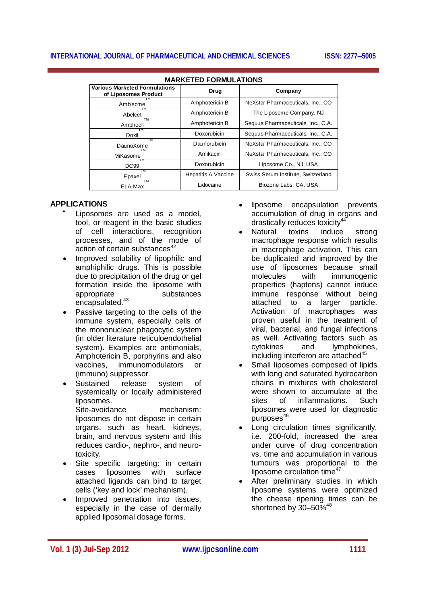| <b>Various Marketed Formulations</b><br>of Liposomes Product | Drug                       | Company                            |  |  |
|--------------------------------------------------------------|----------------------------|------------------------------------|--|--|
| Ambisome                                                     | Amphotericin B             | NeXstar Pharmaceuticals, Inc., CO  |  |  |
| TM<br>Abelcet                                                | Amphotericin B             | The Liposome Company, NJ           |  |  |
| TM<br>Amphocil                                               | Amphotericin B             | Sequus Pharmaceuticals, Inc., C.A. |  |  |
| Doxil                                                        | Doxorubicin                | Sequus Pharmaceuticals, Inc., C.A. |  |  |
| TM<br>DaunoXome                                              | Daunorubicin               | NeXstar Pharmaceuticals, Inc., CO  |  |  |
| ΤМ<br>MiKasome                                               | Amikacin                   | NeXstar Pharmaceuticals, Inc., CO  |  |  |
| TМ<br>DC <sub>99</sub>                                       | Doxorubicin                | Liposome Co., NJ, USA              |  |  |
| TM<br>Epaxel                                                 | <b>Hepatitis A Vaccine</b> | Swiss Serum Institute, Switzerland |  |  |
| ТM<br>ELA-Max                                                | Lidocaine                  | Biozone Labs, CA, USA              |  |  |

#### **MARKETED FORMULATIONS**

#### **APPLICATIONS**

- $\bullet$ Liposomes are used as a model, tool, or reagent in the basic studies of cell interactions, recognition processes, and of the mode of action of certain substances $42$
- Improved solubility of lipophilic and amphiphilic drugs. This is possible due to precipitation of the drug or gel formation inside the liposome with appropriate substances encapsulated.<sup>43</sup>
- Passive targeting to the cells of the immune system, especially cells of the mononuclear phagocytic system (in older literature reticuloendothelial system). Examples are antimonials, Amphotericin B, porphyrins and also vaccines, immunomodulators or (immuno) suppressor.
- Sustained release system of systemically or locally administered liposomes. Site-avoidance mechanism: liposomes do not dispose in certain organs, such as heart, kidneys, brain, and nervous system and this reduces cardio-, nephro-, and neurotoxicity.
- Site specific targeting: in certain cases liposomes with surface attached ligands can bind to target cells ('key and lock' mechanism).
- Improved penetration into tissues, especially in the case of dermally applied liposomal dosage forms.
- liposome encapsulation prevents accumulation of drug in organs and drastically reduces toxicity<sup>4</sup>
- Natural toxins induce strong macrophage response which results in macrophage activation. This can be duplicated and improved by the use of liposomes because small molecules with immunogenic properties (haptens) cannot induce immune response without being attached to a larger particle. Activation of macrophages was proven useful in the treatment of viral, bacterial, and fungal infections as well. Activating factors such as cytokines and lymphokines, including interferon are attached $45$
- Small liposomes composed of lipids with long and saturated hydrocarbon chains in mixtures with cholesterol were shown to accumulate at the sites of inflammations. Such liposomes were used for diagnostic  $p$ urposes $46$
- Long circulation times significantly, i.e. 200-fold, increased the area under curve of drug concentration vs. time and accumulation in various tumours was proportional to the liposome circulation time $47$
- After preliminary studies in which liposome systems were optimized the cheese ripening times can be shortened by  $30-50\%$ <sup>48</sup>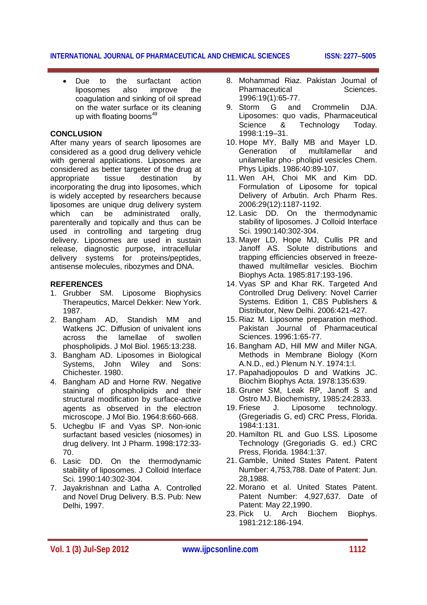Due to the surfactant action liposomes also improve the coagulation and sinking of oil spread on the water surface or its cleaning up with floating booms $49$ 

#### **CONCLUSION**

After many years of search liposomes are considered as a good drug delivery vehicle with general applications. Liposomes are considered as better targeter of the drug at appropriate tissue destination by incorporating the drug into liposomes, which is widely accepted by researchers because liposomes are unique drug delivery system which can be administrated orally. parenterally and topically and thus can be used in controlling and targeting drug delivery. Liposomes are used in sustain release, diagnostic purpose, intracellular delivery systems for proteins/peptides, antisense molecules, ribozymes and DNA.

#### **REFERENCES**

- 1. Grubber SM. Liposome Biophysics Therapeutics, Marcel Dekker: New York. 1987.
- 2. Bangham AD, Standish MM and Watkens JC. Diffusion of univalent ions across the lamellae of swollen phospholipids. J Mol Biol. 1965:13:238.
- 3. Bangham AD. Liposomes in Biological Systems, John Wiley and Sons: Chichester. 1980.
- 4. Bangham AD and Horne RW. Negative staining of phospholipids and their structural modification by surface-active agents as observed in the electron microscope. J Mol Bio. 1964:8:660-668.
- 5. Uchegbu IF and Vyas SP. Non-ionic surfactant based vesicles (niosomes) in drug delivery. Int J Pharm. 1998:172:33- 70.
- 6. Lasic DD. On the thermodynamic stability of liposomes. J Colloid Interface Sci. 1990:140:302-304.
- 7. Jayakrishnan and Latha A. Controlled and Novel Drug Delivery. B.S. Pub: New Delhi, 1997.
- 8. Mohammad Riaz. Pakistan Journal of Pharmaceutical Sciences. 1996:19(1):65-77.
- 9. Storm G and Crommelin DJA. Liposomes: quo vadis, Pharmaceutical Science & Technology Today. 1998:1:19–31.
- 10. Hope MY, Bally MB and Mayer LD. Generation of multilamellar and unilamellar pho- pholipid vesicles Chem. Phys Lipids. 1986:40:89-107.
- 11. Wen AH, Choi MK and Kim DD. Formulation of Liposome for topical Delivery of Arbutin. Arch Pharm Res. 2006:29(12):1187-1192.
- 12. Lasic DD. On the thermodynamic stability of liposomes. J Colloid Interface Sci. 1990:140:302-304.
- 13. Mayer LD, Hope MJ, Cullis PR and Janoff AS. Solute distributions and trapping efficiencies observed in freezethawed multilmellar vesicles. Biochim Biophys Acta. 1985:817:193-196.
- 14. Vyas SP and Khar RK. Targeted And Controlled Drug Delivery: Novel Carrier Systems. Edition 1, CBS Publishers & Distributor, New Delhi. 2006:421-427.
- 15. Riaz M. Liposome preparation method. Pakistan Journal of Pharmaceutical Sciences. 1996:1:65-77.
- 16. Bangham AD, Hill MW and Miller NGA. Methods in Membrane Biology (Korn A.N.D., ed.) Plenum N.Y. 1974:1:l.
- 17. Papahadjopoulos D and Watkins JC. Biochim Biophys Acta. 1978:135:639.
- 18. Gruner SM, Leak RP, Janoff S and Ostro MJ. Biochemistry, 1985:24:2833.
- 19. Friese J. Liposome technology. (Gregeriadis G, ed) CRC Press, Florida. 1984:1:131.
- 20. Hamilton RL and Guo LSS. Liposome Technology (Gregoriadis G. ed.) CRC Press, Florida. 1984:1:37.
- 21. Gamble, United States Patent. Patent Number: 4,753,788. Date of Patent: Jun. 28,1988.
- 22. Morano et al. United States Patent. Patent Number: 4,927,637. Date of Patent: May 22,1990.
- 23. Pick U. Arch Biochem Biophys. 1981:212:186-194.